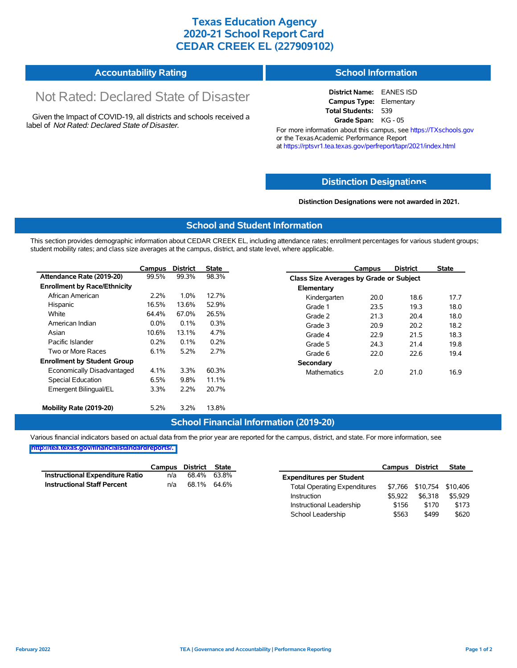## **Texas Education Agency 2020-21 School Report Card CEDAR CREEK EL (227909102)**

| <b>Accountability Rating</b> | <b>School Information</b> |
|------------------------------|---------------------------|
|                              |                           |

# Not Rated: Declared State of Disaster

Given the Impact of COVID-19, all districts and schools received a label of *Not Rated: Declared State of Disaster.*

**District Name:** EANES ISD **Campus Type:** Elementary **Total Students:** 539 **Grade Span:** KG - 05

For more information about this campus, see https://TXschools.gov or the Texas Academic Performance Report at https://rptsvr1.tea.texas.gov/perfreport/tapr/2021/index.html

#### **Distinction Designat[ions](https://TXschools.gov)**

**Distinction Designations were not awarded in 2021.**

School Leadership  $$563$  \$499 \$620

#### **School and Student Information**

This section provides demographic information about CEDAR CREEK EL, including attendance rates; enrollment percentages for various student groups; student mobility rates; and class size averages at the campus, district, and state level, where applicable.

|                                     | Campus  | <b>District</b> | <b>State</b> |                    | Campus                                  | <b>District</b> | <b>State</b> |  |
|-------------------------------------|---------|-----------------|--------------|--------------------|-----------------------------------------|-----------------|--------------|--|
| Attendance Rate (2019-20)           | 99.5%   | 99.3%           | 98.3%        |                    | Class Size Averages by Grade or Subject |                 |              |  |
| <b>Enrollment by Race/Ethnicity</b> |         |                 |              | Elementary         |                                         |                 |              |  |
| African American                    | 2.2%    | 1.0%            | 12.7%        | Kindergarten       | 20.0                                    | 18.6            | 17.7         |  |
| Hispanic                            | 16.5%   | 13.6%           | 52.9%        | Grade 1            | 23.5                                    | 19.3            | 18.0         |  |
| White                               | 64.4%   | 67.0%           | 26.5%        | Grade 2            | 21.3                                    | 20.4            | 18.0         |  |
| American Indian                     | $0.0\%$ | 0.1%            | 0.3%         | Grade 3            | 20.9                                    | 20.2            | 18.2         |  |
| Asian                               | 10.6%   | 13.1%           | 4.7%         | Grade 4            | 22.9                                    | 21.5            | 18.3         |  |
| Pacific Islander                    | 0.2%    | 0.1%            | 0.2%         | Grade 5            | 24.3                                    | 21.4            | 19.8         |  |
| Two or More Races                   | 6.1%    | 5.2%            | 2.7%         | Grade 6            | 22.0                                    | 22.6            | 19.4         |  |
| <b>Enrollment by Student Group</b>  |         |                 |              | Secondary          |                                         |                 |              |  |
| Economically Disadvantaged          | 4.1%    | 3.3%            | 60.3%        | <b>Mathematics</b> | 2.0                                     | 21.0            | 16.9         |  |
| Special Education                   | 6.5%    | 9.8%            | 11.1%        |                    |                                         |                 |              |  |
| Emergent Bilingual/EL               | 3.3%    | 2.2%            | 20.7%        |                    |                                         |                 |              |  |
|                                     |         |                 |              |                    |                                         |                 |              |  |
| Mobility Rate (2019-20)             | 5.2%    | 3.2%            | 13.8%        |                    |                                         |                 |              |  |

#### **School Financial Information (2019-20)**

Various financial indicators based on actual data from the prior year are reported for the campus, district, and state. For more information, see

**[http://tea.texas.gov/financialstandardreports/.](http://tea.texas.gov/financialstandardreports/)**

|                                        | Campus | District | State       |                                     | Campus  | <b>District</b>  | <b>State</b> |
|----------------------------------------|--------|----------|-------------|-------------------------------------|---------|------------------|--------------|
| <b>Instructional Expenditure Ratio</b> | n/a    |          | 68.4% 63.8% | <b>Expenditures per Student</b>     |         |                  |              |
| <b>Instructional Staff Percent</b>     | n/a    |          | 68.1% 64.6% | <b>Total Operating Expenditures</b> |         | \$7,766 \$10,754 | \$10.406     |
|                                        |        |          |             | Instruction                         | \$5.922 | \$6.318          | \$5.929      |
|                                        |        |          |             | Instructional Leadership            | \$156   | \$170            | \$173        |